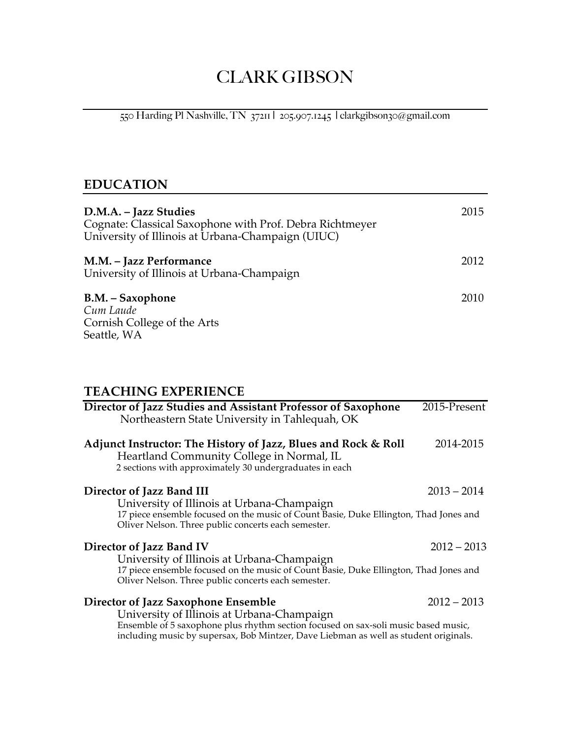# CLARK GIBSON

550 Harding Pl Nashville, TN 37211 | 205.907.1245 | clarkgibson30@gmail.com

# **EDUCATION**

| D.M.A. – Jazz Studies<br>Cognate: Classical Saxophone with Prof. Debra Richtmeyer<br>University of Illinois at Urbana-Champaign (UIUC) | 2015 |
|----------------------------------------------------------------------------------------------------------------------------------------|------|
| M.M. - Jazz Performance<br>University of Illinois at Urbana-Champaign                                                                  | 2012 |
| B.M. – Saxophone<br>Cum Laude<br>Cornish College of the Arts<br>Seattle, WA                                                            | 2010 |

## **TEACHING EXPERIENCE**

| Director of Jazz Studies and Assistant Professor of Saxophone<br>Northeastern State University in Tahlequah, OK                                                                                                                                                 | 2015-Present  |
|-----------------------------------------------------------------------------------------------------------------------------------------------------------------------------------------------------------------------------------------------------------------|---------------|
| Adjunct Instructor: The History of Jazz, Blues and Rock & Roll<br>Heartland Community College in Normal, IL<br>2 sections with approximately 30 undergraduates in each                                                                                          | 2014-2015     |
| Director of Jazz Band III<br>University of Illinois at Urbana-Champaign<br>17 piece ensemble focused on the music of Count Basie, Duke Ellington, Thad Jones and<br>Oliver Nelson. Three public concerts each semester.                                         | $2013 - 2014$ |
| Director of Jazz Band IV<br>University of Illinois at Urbana-Champaign<br>17 piece ensemble focused on the music of Count Basie, Duke Ellington, Thad Jones and<br>Oliver Nelson. Three public concerts each semester.                                          | $2012 - 2013$ |
| Director of Jazz Saxophone Ensemble<br>University of Illinois at Urbana-Champaign<br>Ensemble of 5 saxophone plus rhythm section focused on sax-soli music based music,<br>including music by supersax, Bob Mintzer, Dave Liebman as well as student originals. | $2012 - 2013$ |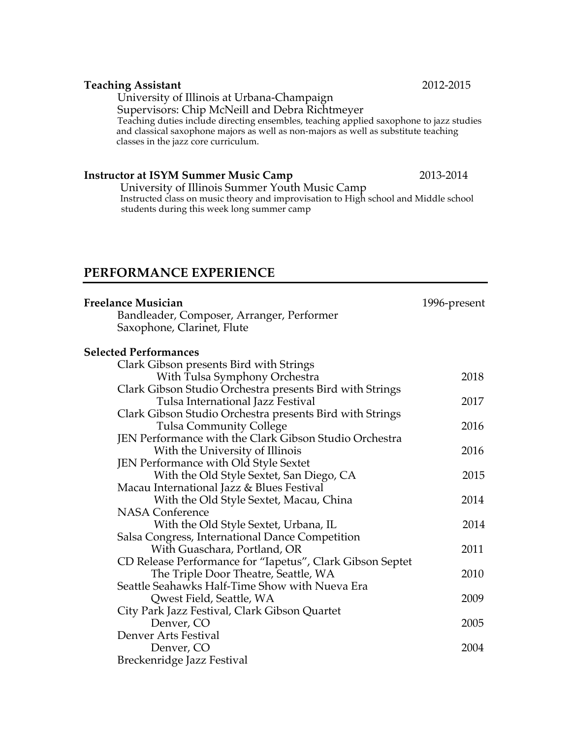#### **Teaching Assistant** 2012-2015

University of Illinois at Urbana-Champaign

Supervisors: Chip McNeill and Debra Richtmeyer

Teaching duties include directing ensembles, teaching applied saxophone to jazz studies and classical saxophone majors as well as non-majors as well as substitute teaching classes in the jazz core curriculum.

**Instructor at ISYM Summer Music Camp** 2013-2014<br>University of Illinois Summer Youth Music Camp Instructed class on music theory and improvisation to High school and Middle school students during this week long summer camp

### **PERFORMANCE EXPERIENCE**

| Freelance Musician                                        | 1996-present |
|-----------------------------------------------------------|--------------|
| Bandleader, Composer, Arranger, Performer                 |              |
| Saxophone, Clarinet, Flute                                |              |
| <b>Selected Performances</b>                              |              |
| Clark Gibson presents Bird with Strings                   |              |
| With Tulsa Symphony Orchestra                             | 2018         |
| Clark Gibson Studio Orchestra presents Bird with Strings  |              |
| Tulsa International Jazz Festival                         | 2017         |
| Clark Gibson Studio Orchestra presents Bird with Strings  |              |
| <b>Tulsa Community College</b>                            | 2016         |
| JEN Performance with the Clark Gibson Studio Orchestra    |              |
| With the University of Illinois                           | 2016         |
| JEN Performance with Old Style Sextet                     |              |
| With the Old Style Sextet, San Diego, CA                  | 2015         |
| Macau International Jazz & Blues Festival                 |              |
| With the Old Style Sextet, Macau, China                   | 2014         |
| <b>NASA Conference</b>                                    |              |
| With the Old Style Sextet, Urbana, IL                     | 2014         |
| Salsa Congress, International Dance Competition           |              |
| With Guaschara, Portland, OR                              | 2011         |
| CD Release Performance for "Iapetus", Clark Gibson Septet |              |
| The Triple Door Theatre, Seattle, WA                      | 2010         |
| Seattle Seahawks Half-Time Show with Nueva Era            |              |
| Qwest Field, Seattle, WA                                  | 2009         |
| City Park Jazz Festival, Clark Gibson Quartet             |              |
| Denver, CO                                                | 2005         |
| Denver Arts Festival                                      |              |
| Denver, CO                                                | 2004         |
| Breckenridge Jazz Festival                                |              |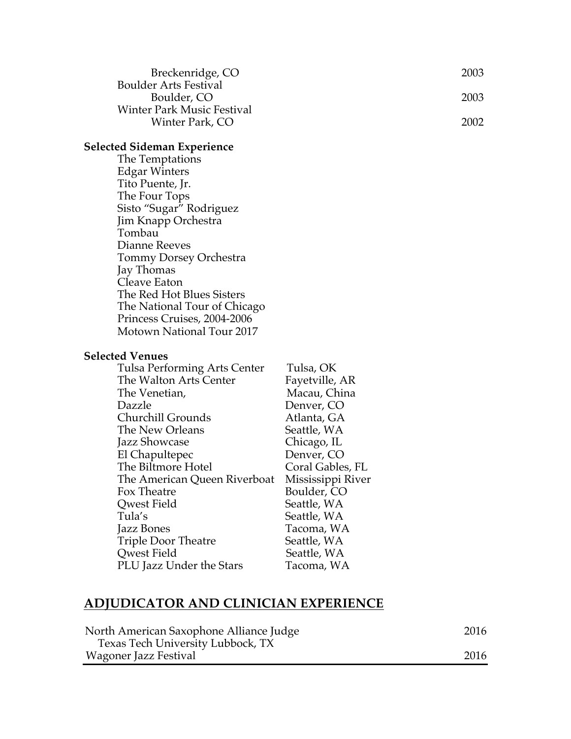| Breckenridge, CO                            | -2003- |
|---------------------------------------------|--------|
| <b>Boulder Arts Festival</b><br>Boulder, CO | 2003   |
| <b>Winter Park Music Festival</b>           |        |
| Winter Park, CO                             | 2002   |

# **Selected Sideman Experience**

### **Selected Venues**

| Tulsa Performing Arts Center | Tulsa, OK         |
|------------------------------|-------------------|
| The Walton Arts Center       | Fayetville, AR    |
| The Venetian,                | Macau, China      |
| Dazzle                       | Denver, CO        |
| Churchill Grounds            | Atlanta, GA       |
| The New Orleans              | Seattle, WA       |
| Jazz Showcase                | Chicago, IL       |
| El Chapultepec               | Denver, CO        |
| The Biltmore Hotel           | Coral Gables, FL  |
| The American Queen Riverboat | Mississippi River |
| Fox Theatre                  | Boulder, CO       |
| Qwest Field                  | Seattle, WA       |
| Tula's                       | Seattle, WA       |
| Jazz Bones                   | Tacoma, WA        |
| <b>Triple Door Theatre</b>   | Seattle, WA       |
| Qwest Field                  | Seattle, WA       |
| PLU Jazz Under the Stars     | Tacoma, WA        |

# **ADJUDICATOR AND CLINICIAN EXPERIENCE**

| North American Saxophone Alliance Judge | 2016 |
|-----------------------------------------|------|
| Texas Tech University Lubbock, TX       |      |
| Wagoner Jazz Festival                   | 2016 |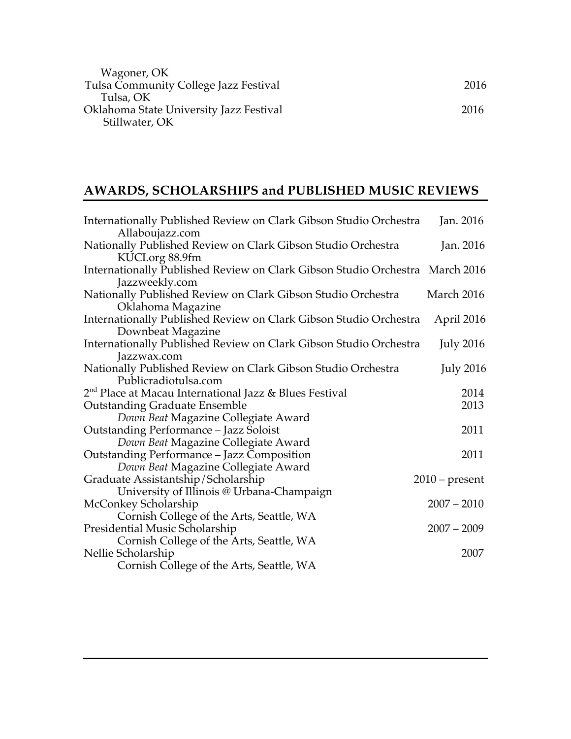| 2016 |
|------|
|      |
| 2016 |
|      |

# **AWARDS, SCHOLARSHIPS and PUBLISHED MUSIC REVIEWS**

| Internationally Published Review on Clark Gibson Studio Orchestra<br>Allaboujazz.com                        | Jan. 2016        |
|-------------------------------------------------------------------------------------------------------------|------------------|
| Nationally Published Review on Clark Gibson Studio Orchestra                                                | Jan. 2016        |
| KUCLorg 88.9fm<br>Internationally Published Review on Clark Gibson Studio Orchestra March 2016              |                  |
| Jazzweekly.com<br>Nationally Published Review on Clark Gibson Studio Orchestra                              | March 2016       |
| Oklahoma Magazine<br>Internationally Published Review on Clark Gibson Studio Orchestra<br>Downbeat Magazine | April 2016       |
| Internationally Published Review on Clark Gibson Studio Orchestra<br>Jazzwax.com                            | <b>July 2016</b> |
| Nationally Published Review on Clark Gibson Studio Orchestra<br>Publicradiotulsa.com                        | <b>July 2016</b> |
| 2 <sup>nd</sup> Place at Macau International Jazz & Blues Festival                                          | 2014<br>2013     |
| <b>Outstanding Graduate Ensemble</b><br>Down Beat Magazine Collegiate Award                                 |                  |
| Outstanding Performance - Jazz Soloist<br>Down Beat Magazine Collegiate Award                               | 2011             |
| Outstanding Performance - Jazz Composition<br>Down Beat Magazine Collegiate Award                           | 2011             |
| Graduate Assistantship/Scholarship<br>University of Illinois @ Urbana-Champaign                             | $2010$ – present |
| McConkey Scholarship<br>Cornish College of the Arts, Seattle, WA                                            | $2007 - 2010$    |
| Presidential Music Scholarship                                                                              | $2007 - 2009$    |
| Cornish College of the Arts, Seattle, WA<br>Nellie Scholarship<br>Cornish College of the Arts, Seattle, WA  | 2007             |
|                                                                                                             |                  |